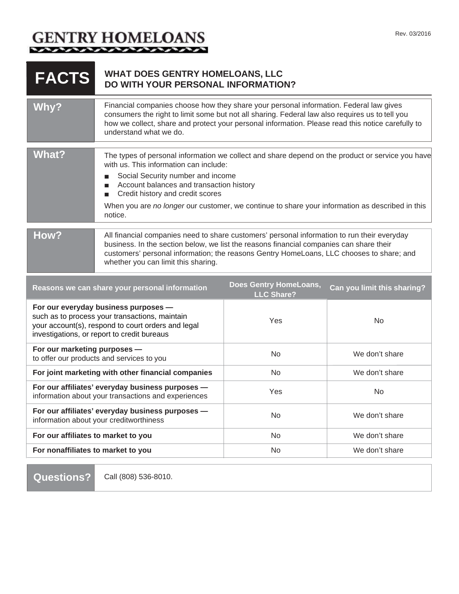## GENTRY HOMELOANS

| <b>FACTS</b>                                                                                                                                                                                | <b>WHAT DOES GENTRY HOMELOANS, LLC</b><br>DO WITH YOUR PERSONAL INFORMATION?                                                                                                                                                                                                                                                                                                                              |                                                    |                             |
|---------------------------------------------------------------------------------------------------------------------------------------------------------------------------------------------|-----------------------------------------------------------------------------------------------------------------------------------------------------------------------------------------------------------------------------------------------------------------------------------------------------------------------------------------------------------------------------------------------------------|----------------------------------------------------|-----------------------------|
| Why?                                                                                                                                                                                        | Financial companies choose how they share your personal information. Federal law gives<br>consumers the right to limit some but not all sharing. Federal law also requires us to tell you<br>how we collect, share and protect your personal information. Please read this notice carefully to<br>understand what we do.                                                                                  |                                                    |                             |
| <b>What?</b>                                                                                                                                                                                | The types of personal information we collect and share depend on the product or service you have<br>with us. This information can include:<br>Social Security number and income<br>П<br>Account balances and transaction history<br>$\blacksquare$<br>Credit history and credit scores<br>П<br>When you are no longer our customer, we continue to share your information as described in this<br>notice. |                                                    |                             |
| How?                                                                                                                                                                                        | All financial companies need to share customers' personal information to run their everyday<br>business. In the section below, we list the reasons financial companies can share their<br>customers' personal information; the reasons Gentry HomeLoans, LLC chooses to share; and<br>whether you can limit this sharing.                                                                                 |                                                    |                             |
|                                                                                                                                                                                             | Reasons we can share your personal information                                                                                                                                                                                                                                                                                                                                                            | <b>Does Gentry HomeLoans,</b><br><b>LLC Share?</b> | Can you limit this sharing? |
| For our everyday business purposes -<br>such as to process your transactions, maintain<br>your account(s), respond to court orders and legal<br>investigations, or report to credit bureaus |                                                                                                                                                                                                                                                                                                                                                                                                           | Yes                                                | <b>No</b>                   |
| For our marketing purposes -<br>to offer our products and services to you                                                                                                                   |                                                                                                                                                                                                                                                                                                                                                                                                           | No                                                 | We don't share              |
| For joint marketing with other financial companies                                                                                                                                          |                                                                                                                                                                                                                                                                                                                                                                                                           | No.                                                | We don't share              |
| For our affiliates' everyday business purposes -<br>information about your transactions and experiences                                                                                     |                                                                                                                                                                                                                                                                                                                                                                                                           | Yes                                                | No                          |
| For our affiliates' everyday business purposes -<br>information about your creditworthiness                                                                                                 |                                                                                                                                                                                                                                                                                                                                                                                                           | <b>No</b>                                          | We don't share              |
| For our affiliates to market to you                                                                                                                                                         |                                                                                                                                                                                                                                                                                                                                                                                                           | N <sub>o</sub>                                     | We don't share              |
| For nonaffiliates to market to you                                                                                                                                                          |                                                                                                                                                                                                                                                                                                                                                                                                           | No                                                 | We don't share              |

**Questions?**

Call (808) 536-8010.